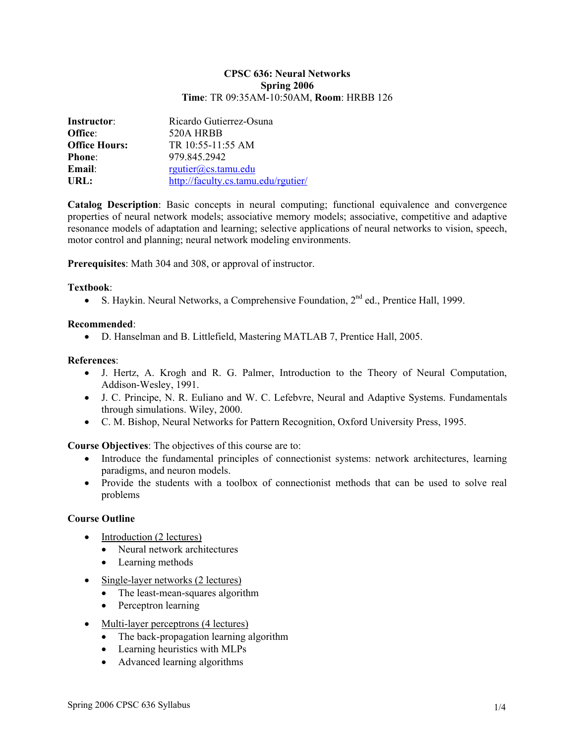#### **CPSC 636: Neural Networks Spring 2006 Time**: TR 09:35AM-10:50AM, **Room**: HRBB 126

| Instructor:          | Ricardo Gutierrez-Osuna             |  |
|----------------------|-------------------------------------|--|
| Office:              | 520A HRBB                           |  |
| <b>Office Hours:</b> | TR 10:55-11:55 AM                   |  |
| <b>Phone:</b>        | 979 845 2942                        |  |
| Email:               | rgutier@cs.tamu.edu                 |  |
| URL:                 | http://faculty.cs.tamu.edu/rgutier/ |  |

**Catalog Description**: Basic concepts in neural computing; functional equivalence and convergence properties of neural network models; associative memory models; associative, competitive and adaptive resonance models of adaptation and learning; selective applications of neural networks to vision, speech, motor control and planning; neural network modeling environments.

**Prerequisites**: Math 304 and 308, or approval of instructor.

### **Textbook**:

• S. Haykin. Neural Networks, a Comprehensive Foundation,  $2<sup>nd</sup>$  ed., Prentice Hall, 1999.

### **Recommended**:

• D. Hanselman and B. Littlefield, Mastering MATLAB 7, Prentice Hall, 2005.

### **References**:

- J. Hertz, A. Krogh and R. G. Palmer, Introduction to the Theory of Neural Computation, Addison-Wesley, 1991.
- J. C. Principe, N. R. Euliano and W. C. Lefebvre, Neural and Adaptive Systems. Fundamentals through simulations. Wiley, 2000.
- C. M. Bishop, Neural Networks for Pattern Recognition, Oxford University Press, 1995.

**Course Objectives**: The objectives of this course are to:

- Introduce the fundamental principles of connectionist systems: network architectures, learning paradigms, and neuron models.
- Provide the students with a toolbox of connectionist methods that can be used to solve real problems

## **Course Outline**

- Introduction (2 lectures)
	- Neural network architectures
	- Learning methods
- Single-layer networks (2 lectures)
	- The least-mean-squares algorithm
	- Perceptron learning
- Multi-layer perceptrons (4 lectures)
	- The back-propagation learning algorithm
	- Learning heuristics with MLPs
	- Advanced learning algorithms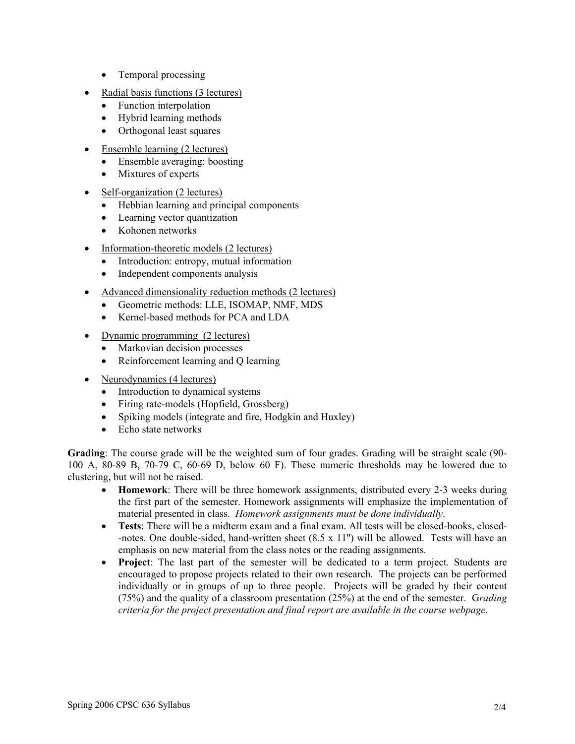- Temporal processing
- Radial basis functions (3 lectures)
	- Function interpolation
	- Hybrid learning methods
	- Orthogonal least squares
- Ensemble learning (2 lectures)
	- Ensemble averaging: boosting
	- Mixtures of experts
- Self-organization (2 lectures)
	- Hebbian learning and principal components
	- Learning vector quantization
	- Kohonen networks
- Information-theoretic models (2 lectures)
	- Introduction: entropy, mutual information
	- Independent components analysis
- Advanced dimensionality reduction methods (2 lectures)
	- Geometric methods: LLE, ISOMAP, NMF, MDS
	- Kernel-based methods for PCA and LDA
- Dynamic programming (2 lectures)
	- Markovian decision processes
	- Reinforcement learning and Q learning
- Neurodynamics (4 lectures)
	- Introduction to dynamical systems
	- Firing rate-models (Hopfield, Grossberg)
	- Spiking models (integrate and fire, Hodgkin and Huxley)
	- Echo state networks

**Grading**: The course grade will be the weighted sum of four grades. Grading will be straight scale (90- 100 A, 80-89 B, 70-79 C, 60-69 D, below 60 F). These numeric thresholds may be lowered due to clustering, but will not be raised.

- **Homework**: There will be three homework assignments, distributed every 2-3 weeks during the first part of the semester. Homework assignments will emphasize the implementation of material presented in class. *Homework assignments must be done individually*.
- **Tests**: There will be a midterm exam and a final exam. All tests will be closed-books, closed--notes. One double-sided, hand-written sheet (8.5 x 11'') will be allowed. Tests will have an emphasis on new material from the class notes or the reading assignments.
- **Project**: The last part of the semester will be dedicated to a term project. Students are encouraged to propose projects related to their own research. The projects can be performed individually or in groups of up to three people. Projects will be graded by their content (75%) and the quality of a classroom presentation (25%) at the end of the semester. G*rading criteria for the project presentation and final report are available in the course webpage.*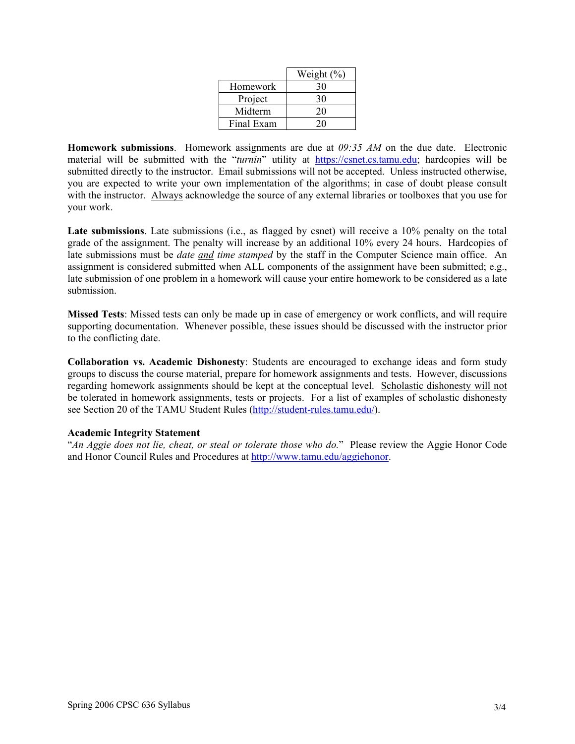|            | Weight (%) |
|------------|------------|
| Homework   | 30         |
| Project    | 30         |
| Midterm    | 20         |
| Final Exam | 20         |

**Homework submissions**. Homework assignments are due at *09:35 AM* on the due date. Electronic material will be submitted with the "turnin" utility at https://csnet.cs.tamu.edu; hardcopies will be submitted directly to the instructor. Email submissions will not be accepted. Unless instructed otherwise, you are expected to write your own implementation of the algorithms; in case of doubt please consult with the instructor. Always acknowledge the source of any external libraries or toolboxes that you use for your work.

Late submissions. Late submissions (i.e., as flagged by csnet) will receive a 10% penalty on the total grade of the assignment. The penalty will increase by an additional 10% every 24 hours. Hardcopies of late submissions must be *date and time stamped* by the staff in the Computer Science main office. An assignment is considered submitted when ALL components of the assignment have been submitted; e.g., late submission of one problem in a homework will cause your entire homework to be considered as a late submission.

**Missed Tests**: Missed tests can only be made up in case of emergency or work conflicts, and will require supporting documentation. Whenever possible, these issues should be discussed with the instructor prior to the conflicting date.

**Collaboration vs. Academic Dishonesty**: Students are encouraged to exchange ideas and form study groups to discuss the course material, prepare for homework assignments and tests. However, discussions regarding homework assignments should be kept at the conceptual level. Scholastic dishonesty will not be tolerated in homework assignments, tests or projects. For a list of examples of scholastic dishonesty see Section 20 of the TAMU Student Rules (http://student-rules.tamu.edu/).

#### **Academic Integrity Statement**

"*An Aggie does not lie, cheat, or steal or tolerate those who do.*" Please review the Aggie Honor Code and Honor Council Rules and Procedures at http://www.tamu.edu/aggiehonor.